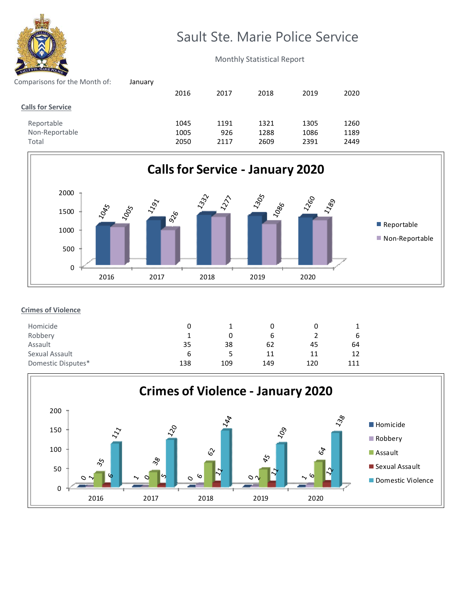

## Sault Ste. Marie Police Service

Monthly Statistical Report

| January |      |      |      |      |      |
|---------|------|------|------|------|------|
|         | 2016 | 2017 | 2018 | 2019 | 2020 |
|         |      |      |      |      |      |
|         | 1045 | 1191 | 1321 | 1305 | 1260 |
|         | 1005 | 926  | 1288 | 1086 | 1189 |
|         | 2050 | 2117 | 2609 | 2391 | 2449 |
|         |      |      |      |      |      |



## **Crimes of Violence**

| Homicide           |     |     |     |     |     |
|--------------------|-----|-----|-----|-----|-----|
| Robbery            |     |     | b   |     | b   |
| Assault            | 35  | 38  | 62  | 45  | 64  |
| Sexual Assault     | b   |     | 11  | 11  | 12  |
| Domestic Disputes* | 138 | 109 | 149 | 120 | 111 |